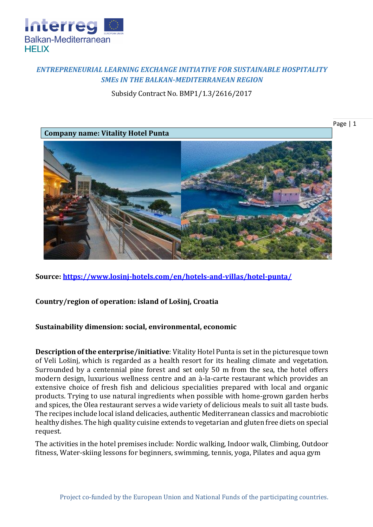

## *ENTREPRENEURIAL LEARNING EXCHANGE INITIATIVE FOR SUSTAINABLE HOSPITALITY SMEs IN THE BALKAN-MEDITERRANEAN REGION*

Subsidy Contract No. BMP1/1.3/2616/2017

Page | 1

**Company name: Vitality Hotel Punta**



**Source:<https://www.losinj-hotels.com/en/hotels-and-villas/hotel-punta/>**

## **Country/region of operation: island of Lošinj, Croatia**

## **Sustainability dimension: social, environmental, economic**

**Description of the enterprise/initiative**: Vitality Hotel Punta is set in the picturesque town of Veli Lošinj, which is regarded as a health resort for its healing climate and vegetation. Surrounded by a centennial pine forest and set only 50 m from the sea, the hotel offers modern design, luxurious wellness centre and an à-la-carte restaurant which provides an extensive choice of fresh fish and delicious specialities prepared with local and organic products. Trying to use natural ingredients when possible with home-grown garden herbs and spices, the Olea restaurant serves a wide variety of delicious meals to suit all taste buds. The recipes include local island delicacies, authentic Mediterranean classics and macrobiotic healthy dishes. The high quality cuisine extends to vegetarian and gluten free diets on special request.

The activities in the hotel premises include: Nordic walking, Indoor walk, Climbing, Outdoor fitness, Water-skiing lessons for beginners, swimming, tennis, yoga, Pilates and aqua gym